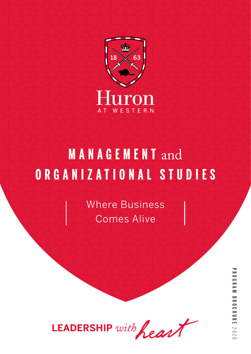

# **MANAGEMENT** and **ORGANIZATIONAL STUDIES**

Where Business Comes Alive

LEADERSHIP with heart

**PROGRAM BROCHUREPROGRAM BROCHURE 2020**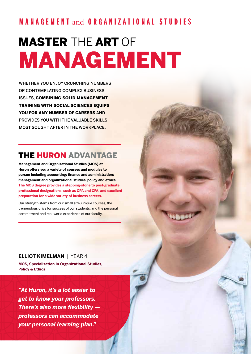## **MANAGEMENT** and **ORGANIZATIONAL STUDIES**

# MASTER THE ART OF MANAGEMENT

WHETHER YOU ENJOY CRUNCHING NUMBERS OR CONTEMPLATING COMPLEX BUSINESS ISSUES, COMBINING SOLID MANAGEMENT TRAINING WITH SOCIAL SCIENCES EQUIPS YOU FOR ANY NUMBER OF CAREERS AND PROVIDES YOU WITH THE VALUABLE SKILLS MOST SOUGHT AFTER IN THE WORKPLACE.

## THE HURON ADVANTAGE

**Management and Organizational Studies (MOS) at Huron offers you a variety of courses and modules to pursue including accounting; finance and administration; management and organizational studies, policy and ethics. The MOS degree provides a stepping-stone to post-graduate professional designations, such as CPA and CFA, and excellent preparation for a wide variety of business careers.**

Our strength stems from our small size, unique courses, the tremendous drive for success of our students, and the personal commitment and real-world experience of our faculty.

#### **ELLIOT KIMELMAN** | YEAR 4

**MOS, Specialization in Organizational Studies, Policy & Ethics** 

*"At Huron, it's a lot easier to get to know your professors. There's also more flexibility professors can accommodate your personal learning plan."*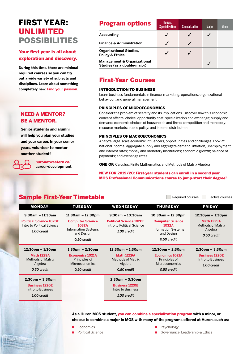## FIRST YEAR: UNLIMITED POSSIBILITIES

#### Your first year is all about exploration and discovery.

**During this time, there are minimal required courses so you can try out a wide variety of subjects and disciplines. Learn about something completely new. Find your passion.**

#### NEED A MENTOR? BE A MENTOR.

**Senior students and alumni will help you plan your studies and your career. In your senior years, volunteer to mentor another student!** 

> **huronatwestern.ca**/ **career-development**

| <b>Program options</b>                                                | <b>Honors</b><br><b>Specialization</b> | <b>Specialization</b> | <b>Major</b> | <b>Minor</b> |
|-----------------------------------------------------------------------|----------------------------------------|-----------------------|--------------|--------------|
| <b>Accounting</b>                                                     |                                        |                       |              |              |
| <b>Finance &amp; Administration</b>                                   |                                        |                       |              |              |
| <b>Organizational Studies,</b><br><b>Policy &amp; Ethics</b>          |                                        |                       |              |              |
| <b>Management &amp; Organizational</b><br>Studies (as a double-major) |                                        |                       |              |              |

### First-Year Courses

#### INTRODUCTION TO BUSINESS

Learn business fundamentals in finance, marketing, operations, organizational behaviour, and general management.

#### PRINCIPLES OF MICROECONOMICS

Consider the problem of scarcity and its implications. Discover how this economic concept affects: choice; opportunity cost, specialization and exchange; supply and demand; economic choices of households and firms; competition and monopoly; resource markets; public policy; and income distribution.

#### PRINCIPLES OF MACROECONOMICS

Analyze large-scale economic influencers, opportunities and challenges. Look at: national income; aggregate supply and aggregate demand; inflation, unemployment and interest rates; money and monetary institutions; economic growth; balance of payments; and exchange rates.

ONE OF: Calculus, Finite Mathematics and Methods of Matrix Algebra

#### NEW FOR 2019/20: First-year students can enroll in a second year MOS Professional Communications course to jump-start their degree!

|  |  | <b>Sample First-Year Timetable</b> |  |
|--|--|------------------------------------|--|
|  |  |                                    |  |

Required courses **Elective courses** 

| <b>MONDAY</b>                                                                                                 | <b>TUESDAY</b>                                                                                                       | <b>WEDNESDAY</b>                                                                                              | <b>THURSDAY</b>                                                                                                       | <b>FRIDAY</b>                                                                                                 |
|---------------------------------------------------------------------------------------------------------------|----------------------------------------------------------------------------------------------------------------------|---------------------------------------------------------------------------------------------------------------|-----------------------------------------------------------------------------------------------------------------------|---------------------------------------------------------------------------------------------------------------|
| $9:30am - 11:30am$<br><b>Political Science 1020E</b><br>Intro to Political Science<br>1.00 credit             | $11:30am - 12:30pm$<br><b>Computer Science</b><br>1032A<br><b>Information Systems</b><br>and Design<br>0.50 credit   | $9:30am - 10:30am$<br><b>Political Science 1020E</b><br>Intro to Political Science<br>1.00 credit             | $10:30$ am - 12:30pm<br><b>Computer Science</b><br>1032A<br><b>Information Systems</b><br>and Design<br>0.50 credit   | $12:30 \text{pm} - 1:30 \text{pm}$<br><b>Math 1229A</b><br><b>Methods of Matrix</b><br>Algebra<br>0.50 credit |
| $12:30 \text{pm} - 1:30 \text{pm}$<br><b>Math 1229A</b><br><b>Methods of Matrix</b><br>Algebra<br>0.50 credit | $1:30 \text{pm} - 2:30 \text{pm}$<br><b>Economics 1021A</b><br>Principles of<br><b>Microeconomics</b><br>0.50 credit | $12:30 \text{pm} - 1:30 \text{pm}$<br><b>Math 1229A</b><br><b>Methods of Matrix</b><br>Algebra<br>0.50 credit | $12:30 \text{pm} - 2:30 \text{pm}$<br><b>Economics 1021A</b><br>Principles of<br><b>Microeconomics</b><br>0.50 credit | $2:30 \text{pm} - 3:30 \text{pm}$<br><b>Business 1220E</b><br>Intro to Business<br>1.00 credit                |
| $2:30 \text{pm} - 3:30 \text{pm}$<br><b>Business 1220E</b><br>Intro to Business<br>1.00 credit                |                                                                                                                      | $2:30 \text{pm} - 3:30 \text{pm}$<br><b>Business 1220E</b><br>Intro to Business<br>1.00 credit                |                                                                                                                       |                                                                                                               |

**As a Huron MOS student, you can combine a specialization program with a minor, or choose to combine a major in MOS with many of the programs offered at Huron, such as:** 

- **Economics**
- **Political Science**
- Psychology
- Governance, Leadership & Ethics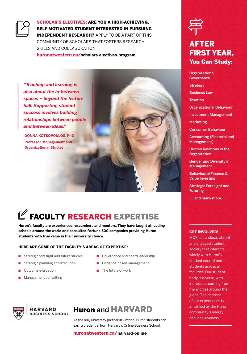

SCHOLAR'S ELECTIVES: ARE YOU A HIGH-ACHIEVING, SELF-MOTIVATED STUDENT INTERESTED IN PURSUING INDEPENDENT RESEARCH? APPLY TO BE A PART OF THIS COMMUNITY OF SCHOLARS THAT FOSTERS RESEARCH SKILLS AND COLLABORATION.

**huronatwestern.ca/scholars-electives-program**

*"Teaching and learning is also about the in-between spaces – beyond the lecture hall. Supporting student success involves building relationships between people and between ideas."*

**DONNA KOTSOPOULOS, PhD Professor, Management and Organizational Studies**



## $\mathbb Z$  FACULTY RESEARCH EXPERTISE

**Huron's faculty are experienced researchers and mentors. They have taught at leading schools around the world and consulted Fortune 500 companies providing Huron students with true value in their university choice.**

#### HERE ARE SOME OF THE FACULTY'S AREAS OF EXPERTISE:

- Strategic foresight and future studies
- Strategic planning and execution
- Outcome evaluation
- Management consulting
- Governance and board leadership
- Evidence-based management
- The future of work



#### **HARVARD BUSINESS SCHOOL**

## Huron and HARVARD

As the only university partner in Ontario, Huron students can earn a credential from Harvard's Online Business School.

#### **huronatwestern.ca/harvard-online**



## AFTER FIRST YEAR, You Can Study:

**Organizational Governance Strategy** Business Law Taxation Organizational Behaviour Investment Management Marketing Consumer Behaviour

Accounting (Financial and Management)

Human Relations in the **Organization** 

Gender and Diversity in **Management** 

Behavioural Finance & Value Investing

Strategic Foresight and Futuring

…..and many more.

#### **GET INVOLVED!**

MOS has a close, vibrant and engaged student society that interacts widely with Huron's student council and students across all faculties. Our student body is diverse, with individuals coming from many cities around the globe. The richness of our experiences is amplified by the Huron community's energy and inclusiveness.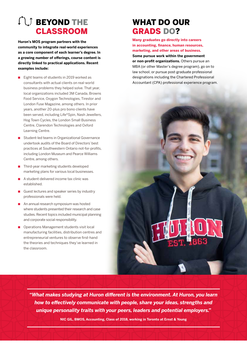## **CO** BEYOND THE CLASSROOM

**Huron's MOS program partners with the community to integrate real-world experiences as a core component of each learner's degree. In a growing number of offerings, course content is directly linked to practical applications. Recent examples include:** 

- Eight teams of students in 2019 worked as consultants with actual clients on real-world business problems they helped solve. That year, local organizations included 3M Canada, Browns Food Service, Oxygon Technologies, Tirestor and London Fuse Magazine, among others. In prior years, another 20-plus pro bono clients have been served, including Life\*Spin, Nash Jewellers, Hog Town Cycles, the London Small Business Centre, Clarendon Technologies and Oxford Learning Centre.
- Student-led teams in Organizational Governance undertook audits of the Board of Directors' best practices at Southwestern Ontario not-for-profits, including London Museum and Pearce Williams Centre, among others.
- Third-year marketing students developed marketing plans for various local businesses.
- A student-delivered income tax clinic was established.
- Guest lectures and speaker series by industry professionals were held.
- An annual research symposium was hosted where students presented their research and case studies. Recent topics included municipal planning and corporate social responsibility.
- Operations Management students visit local manufacturing facilities, distribution centres and entrepreneurial ventures to observe first-hand the theories and techniques they've learned in the classroom.

## WHAT DO OUR GRADS DO?

**Many graduates go directly into careers in accounting, finance, human resources, marketing, and other areas of business.** 

**Some pursue work within the government or non-profit organizations.** Others pursue an MBA (or other Master's degree program), go on to law school, or pursue post-graduate professional designations including the Chartered Professional Accountant (CPA) professional experience program.

*"What makes studying at Huron different is the environment. At Huron, you learn how to effectively communicate with people, share your ideas, strengths and unique personality traits with your peers, leaders and potential employers."*

**NIC GIL, BMOS, Accounting, Class of 2018, working in Toronto at Ernst & Young**